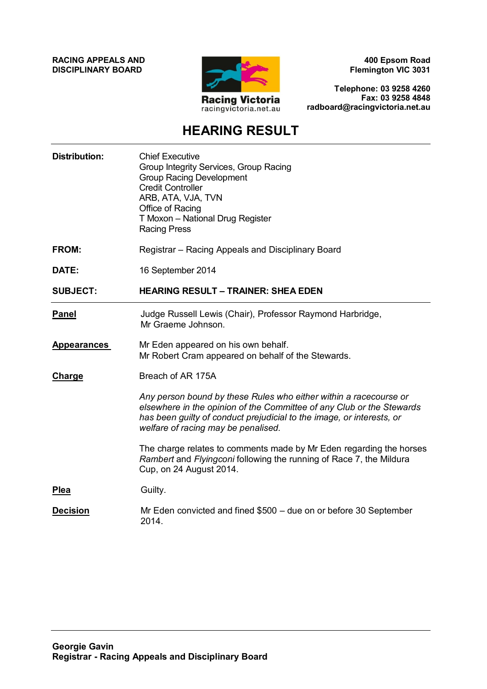**RACING APPEALS AND DISCIPLINARY BOARD**



**400 Epsom Road Flemington VIC 3031**

**Telephone: 03 9258 4260 Fax: 03 9258 4848 radboard@racingvictoria.net.au**

# **HEARING RESULT**

| <b>Distribution:</b> | <b>Chief Executive</b><br>Group Integrity Services, Group Racing<br><b>Group Racing Development</b><br><b>Credit Controller</b><br>ARB, ATA, VJA, TVN<br>Office of Racing<br>T Moxon - National Drug Register<br><b>Racing Press</b>                       |
|----------------------|------------------------------------------------------------------------------------------------------------------------------------------------------------------------------------------------------------------------------------------------------------|
| FROM:                | Registrar – Racing Appeals and Disciplinary Board                                                                                                                                                                                                          |
| DATE:                | 16 September 2014                                                                                                                                                                                                                                          |
| <b>SUBJECT:</b>      | <b>HEARING RESULT - TRAINER: SHEA EDEN</b>                                                                                                                                                                                                                 |
| <b>Panel</b>         | Judge Russell Lewis (Chair), Professor Raymond Harbridge,<br>Mr Graeme Johnson.                                                                                                                                                                            |
| <b>Appearances</b>   | Mr Eden appeared on his own behalf.<br>Mr Robert Cram appeared on behalf of the Stewards.                                                                                                                                                                  |
| Charge               | Breach of AR 175A                                                                                                                                                                                                                                          |
|                      | Any person bound by these Rules who either within a racecourse or<br>elsewhere in the opinion of the Committee of any Club or the Stewards<br>has been guilty of conduct prejudicial to the image, or interests, or<br>welfare of racing may be penalised. |
|                      | The charge relates to comments made by Mr Eden regarding the horses<br>Rambert and Flyingconi following the running of Race 7, the Mildura<br>Cup, on 24 August 2014.                                                                                      |
| <b>Plea</b>          | Guilty.                                                                                                                                                                                                                                                    |
| <b>Decision</b>      | Mr Eden convicted and fined \$500 - due on or before 30 September<br>2014.                                                                                                                                                                                 |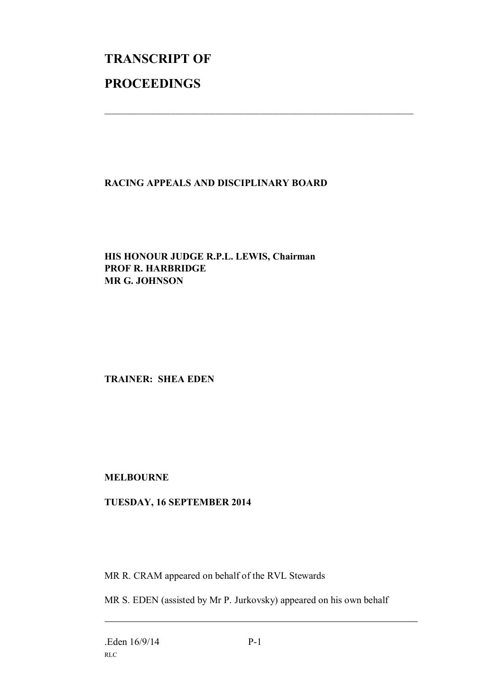# **TRANSCRIPT OF PROCEEDINGS**

## **RACING APPEALS AND DISCIPLINARY BOARD**

 $\mathcal{L}_\text{max}$  , and the contribution of the contribution of the contribution of the contribution of the contribution of the contribution of the contribution of the contribution of the contribution of the contribution of t

#### **HIS HONOUR JUDGE R.P.L. LEWIS, Chairman PROF R. HARBRIDGE MR G. JOHNSON**

#### **TRAINER: SHEA EDEN**

#### **MELBOURNE**

### **TUESDAY, 16 SEPTEMBER 2014**

MR R. CRAM appeared on behalf of the RVL Stewards

MR S. EDEN (assisted by Mr P. Jurkovsky) appeared on his own behalf